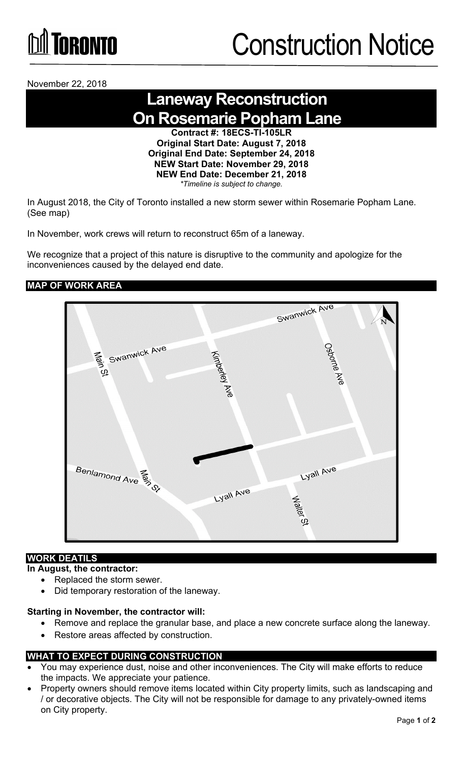

November 22, 2018

# **Laneway Reconstruction On Rosemarie Popham Lane**

**Contract #: 18ECS-TI-105LR Original Start Date: August 7, 2018 Original End Date: September 24, 2018 NEW Start Date: November 29, 2018 NEW End Date: December 21, 2018**  *\*Timeline is subject to change.*

In August 2018, the City of Toronto installed a new storm sewer within Rosemarie Popham Lane. (See map)

In November, work crews will return to reconstruct 65m of a laneway.

We recognize that a project of this nature is disruptive to the community and apologize for the inconveniences caused by the delayed end date.

## **MAP OF WORK AREA**



## **WORK DEATILS**

#### **In August, the contractor:**

- Replaced the storm sewer.
- Did temporary restoration of the laneway.

#### **Starting in November, the contractor will:**

- Remove and replace the granular base, and place a new concrete surface along the laneway.
- Restore areas affected by construction.

# **WHAT TO EXPECT DURING CONSTRUCTION**

- You may experience dust, noise and other inconveniences. The City will make efforts to reduce the impacts. We appreciate your patience.
- Property owners should remove items located within City property limits, such as landscaping and / or decorative objects. The City will not be responsible for damage to any privately-owned items on City property.